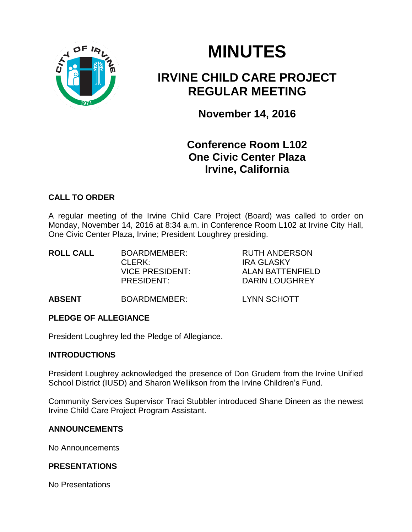

# **MINUTES**

# **IRVINE CHILD CARE PROJECT REGULAR MEETING**

**November 14, 2016**

# **Conference Room L102 One Civic Center Plaza Irvine, California**

# **CALL TO ORDER**

A regular meeting of the Irvine Child Care Project (Board) was called to order on Monday, November 14, 2016 at 8:34 a.m. in Conference Room L102 at Irvine City Hall, One Civic Center Plaza, Irvine; President Loughrey presiding.

| <b>ROLL CALL</b> | BOARDMEMBER:           | <b>RUTH ANDERSON</b>  |
|------------------|------------------------|-----------------------|
|                  | $CI$ FRK:              | <b>IRA GLASKY</b>     |
|                  | <b>VICE PRESIDENT:</b> | ALAN BATTENFIELD      |
|                  | <b>PRESIDENT:</b>      | <b>DARIN LOUGHREY</b> |
|                  |                        |                       |

**ABSENT** BOARDMEMBER: LYNN SCHOTT

# **PLEDGE OF ALLEGIANCE**

President Loughrey led the Pledge of Allegiance.

# **INTRODUCTIONS**

President Loughrey acknowledged the presence of Don Grudem from the Irvine Unified School District (IUSD) and Sharon Wellikson from the Irvine Children's Fund.

Community Services Supervisor Traci Stubbler introduced Shane Dineen as the newest Irvine Child Care Project Program Assistant.

# **ANNOUNCEMENTS**

No Announcements

# **PRESENTATIONS**

No Presentations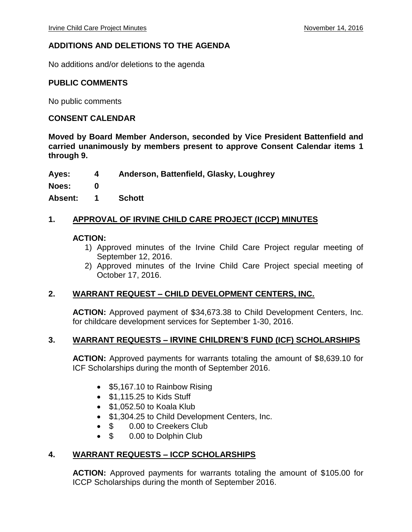# **ADDITIONS AND DELETIONS TO THE AGENDA**

No additions and/or deletions to the agenda

#### **PUBLIC COMMENTS**

No public comments

# **CONSENT CALENDAR**

**Moved by Board Member Anderson, seconded by Vice President Battenfield and carried unanimously by members present to approve Consent Calendar items 1 through 9.**

**Ayes: 4 Anderson, Battenfield, Glasky, Loughrey**

**Noes: 0**

**Absent: 1 Schott**

# **1. APPROVAL OF IRVINE CHILD CARE PROJECT (ICCP) MINUTES**

#### **ACTION:**

- 1) Approved minutes of the Irvine Child Care Project regular meeting of September 12, 2016.
- 2) Approved minutes of the Irvine Child Care Project special meeting of October 17, 2016.

# **2. WARRANT REQUEST – CHILD DEVELOPMENT CENTERS, INC.**

**ACTION:** Approved payment of \$34,673.38 to Child Development Centers, Inc. for childcare development services for September 1-30, 2016.

# **3. WARRANT REQUESTS – IRVINE CHILDREN'S FUND (ICF) SCHOLARSHIPS**

**ACTION:** Approved payments for warrants totaling the amount of \$8,639.10 for ICF Scholarships during the month of September 2016.

- \$5,167.10 to Rainbow Rising
- $\bullet$  \$1,115.25 to Kids Stuff
- $\bullet$  \$1,052.50 to Koala Klub
- \$1,304.25 to Child Development Centers, Inc.
- \$ 0.00 to Creekers Club
- \$ 0.00 to Dolphin Club

# **4. WARRANT REQUESTS – ICCP SCHOLARSHIPS**

**ACTION:** Approved payments for warrants totaling the amount of \$105.00 for ICCP Scholarships during the month of September 2016.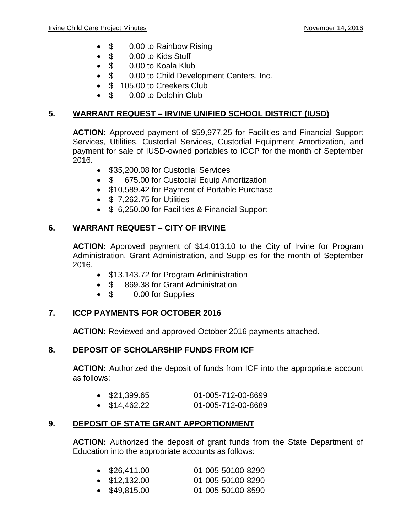- \$ 0.00 to Rainbow Rising
- \$ 0.00 to Kids Stuff
- \$ 0.00 to Koala Klub
- \$ 0.00 to Child Development Centers, Inc.
- **\$ 105.00 to Creekers Club**
- \$ 0.00 to Dolphin Club

# **5. WARRANT REQUEST – IRVINE UNIFIED SCHOOL DISTRICT (IUSD)**

**ACTION:** Approved payment of \$59,977.25 for Facilities and Financial Support Services, Utilities, Custodial Services, Custodial Equipment Amortization, and payment for sale of IUSD-owned portables to ICCP for the month of September 2016.

- \$35,200.08 for Custodial Services
- \$ 675.00 for Custodial Equip Amortization
- \$10,589.42 for Payment of Portable Purchase
- $\bullet$  \$ 7,262.75 for Utilities
- \$ 6,250.00 for Facilities & Financial Support

# **6. WARRANT REQUEST – CITY OF IRVINE**

**ACTION:** Approved payment of \$14,013.10 to the City of Irvine for Program Administration, Grant Administration, and Supplies for the month of September 2016.

- \$13,143.72 for Program Administration
- \$ 869.38 for Grant Administration
- \$ 0.00 for Supplies

# **7. ICCP PAYMENTS FOR OCTOBER 2016**

**ACTION:** Reviewed and approved October 2016 payments attached.

# **8. DEPOSIT OF SCHOLARSHIP FUNDS FROM ICF**

**ACTION:** Authorized the deposit of funds from ICF into the appropriate account as follows:

| \$21,399.65       | 01-005-712-00-8699 |
|-------------------|--------------------|
| <b>CALLACO OO</b> | AL AAE 749 AA AAAA |

# \$14,462.22 01-005-712-00-8689

# **9. DEPOSIT OF STATE GRANT APPORTIONMENT**

**ACTION:** Authorized the deposit of grant funds from the State Department of Education into the appropriate accounts as follows:

| $\bullet$ \$26,411.00 | 01-005-50100-8290 |
|-----------------------|-------------------|
| $\bullet$ \$12,132.00 | 01-005-50100-8290 |
| $\bullet$ \$49,815.00 | 01-005-50100-8590 |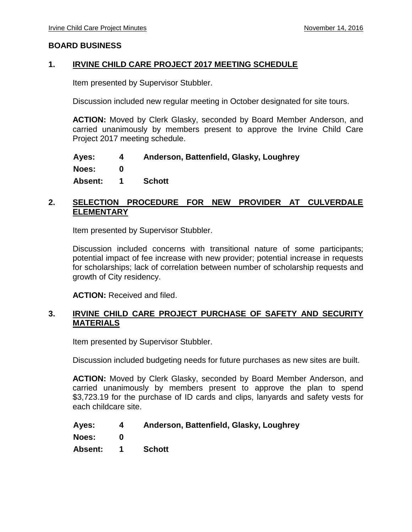#### **BOARD BUSINESS**

#### **1. IRVINE CHILD CARE PROJECT 2017 MEETING SCHEDULE**

Item presented by Supervisor Stubbler.

Discussion included new regular meeting in October designated for site tours.

**ACTION:** Moved by Clerk Glasky, seconded by Board Member Anderson, and carried unanimously by members present to approve the Irvine Child Care Project 2017 meeting schedule.

**Ayes: 4 Anderson, Battenfield, Glasky, Loughrey Noes: 0 Absent: 1 Schott**

# **2. SELECTION PROCEDURE FOR NEW PROVIDER AT CULVERDALE ELEMENTARY**

Item presented by Supervisor Stubbler.

Discussion included concerns with transitional nature of some participants; potential impact of fee increase with new provider; potential increase in requests for scholarships; lack of correlation between number of scholarship requests and growth of City residency.

**ACTION:** Received and filed.

# **3. IRVINE CHILD CARE PROJECT PURCHASE OF SAFETY AND SECURITY MATERIALS**

Item presented by Supervisor Stubbler.

Discussion included budgeting needs for future purchases as new sites are built.

**ACTION:** Moved by Clerk Glasky, seconded by Board Member Anderson, and carried unanimously by members present to approve the plan to spend \$3,723.19 for the purchase of ID cards and clips, lanyards and safety vests for each childcare site.

| Ayes:          | 4              | Anderson, Battenfield, Glasky, Loughrey |
|----------------|----------------|-----------------------------------------|
| <b>Noes:</b>   |                |                                         |
| <b>Absent:</b> | $\blacksquare$ | Schott                                  |